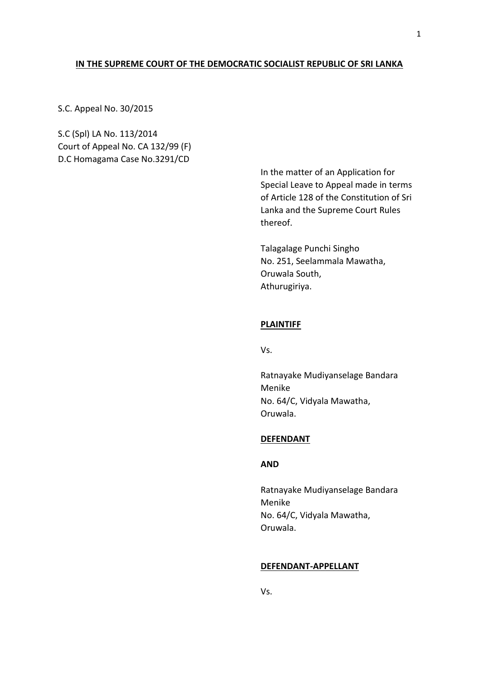## **IN THE SUPREME COURT OF THE DEMOCRATIC SOCIALIST REPUBLIC OF SRI LANKA**

S.C. Appeal No. 30/2015

S.C (Spl) LA No. 113/2014 Court of Appeal No. CA 132/99 (F) D.C Homagama Case No.3291/CD

> In the matter of an Application for Special Leave to Appeal made in terms of Article 128 of the Constitution of Sri Lanka and the Supreme Court Rules thereof.

Talagalage Punchi Singho No. 251, Seelammala Mawatha, Oruwala South, Athurugiriya.

# **PLAINTIFF**

Vs.

Ratnayake Mudiyanselage Bandara Menike No. 64/C, Vidyala Mawatha, Oruwala.

#### **DEFENDANT**

## **AND**

Ratnayake Mudiyanselage Bandara Menike No. 64/C, Vidyala Mawatha, Oruwala.

#### **DEFENDANT-APPELLANT**

Vs.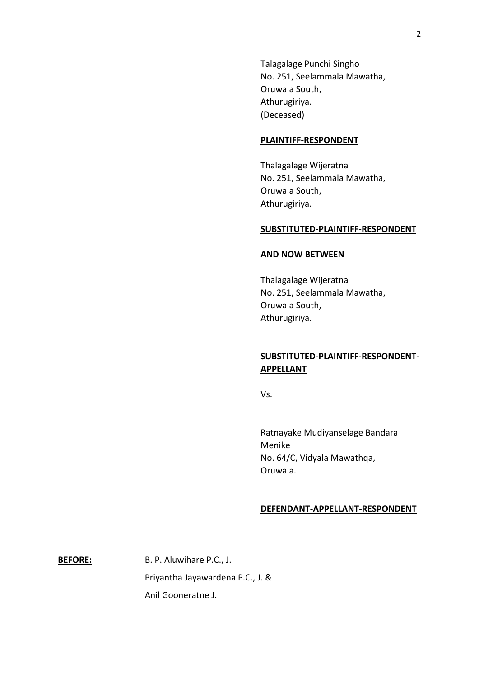Talagalage Punchi Singho No. 251, Seelammala Mawatha, Oruwala South, Athurugiriya. (Deceased)

### **PLAINTIFF-RESPONDENT**

Thalagalage Wijeratna No. 251, Seelammala Mawatha, Oruwala South, Athurugiriya.

#### **SUBSTITUTED-PLAINTIFF-RESPONDENT**

## **AND NOW BETWEEN**

Thalagalage Wijeratna No. 251, Seelammala Mawatha, Oruwala South, Athurugiriya.

# **SUBSTITUTED-PLAINTIFF-RESPONDENT-APPELLANT**

Vs.

Ratnayake Mudiyanselage Bandara Menike No. 64/C, Vidyala Mawathqa, Oruwala.

### **DEFENDANT-APPELLANT-RESPONDENT**

**BEFORE:** B. P. Aluwihare P.C., J. Priyantha Jayawardena P.C., J. & Anil Gooneratne J.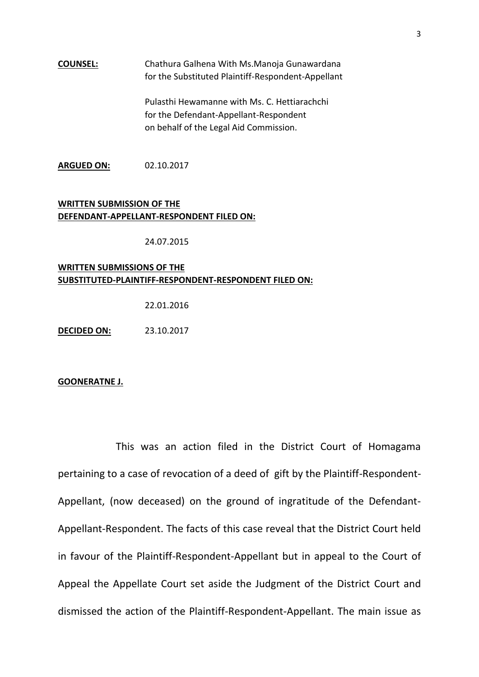## **COUNSEL:** Chathura Galhena With Ms.Manoja Gunawardana for the Substituted Plaintiff-Respondent-Appellant

Pulasthi Hewamanne with Ms. C. Hettiarachchi for the Defendant-Appellant-Respondent on behalf of the Legal Aid Commission.

**ARGUED ON:** 02.10.2017

# **WRITTEN SUBMISSION OF THE DEFENDANT-APPELLANT-RESPONDENT FILED ON:**

24.07.2015

# **WRITTEN SUBMISSIONS OF THE SUBSTITUTED-PLAINTIFF-RESPONDENT-RESPONDENT FILED ON:**

22.01.2016

**DECIDED ON:** 23.10.2017

#### **GOONERATNE J.**

This was an action filed in the District Court of Homagama pertaining to a case of revocation of a deed of gift by the Plaintiff-Respondent-Appellant, (now deceased) on the ground of ingratitude of the Defendant-Appellant-Respondent. The facts of this case reveal that the District Court held in favour of the Plaintiff-Respondent-Appellant but in appeal to the Court of Appeal the Appellate Court set aside the Judgment of the District Court and dismissed the action of the Plaintiff-Respondent-Appellant. The main issue as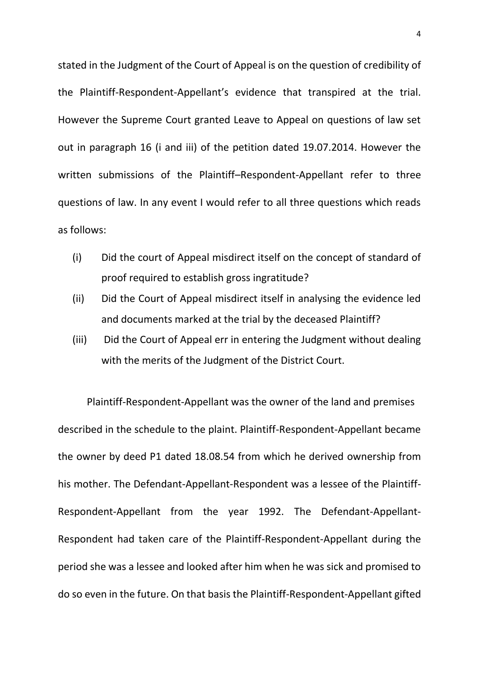stated in the Judgment of the Court of Appeal is on the question of credibility of the Plaintiff-Respondent-Appellant's evidence that transpired at the trial. However the Supreme Court granted Leave to Appeal on questions of law set out in paragraph 16 (i and iii) of the petition dated 19.07.2014. However the written submissions of the Plaintiff–Respondent-Appellant refer to three questions of law. In any event I would refer to all three questions which reads as follows:

- (i) Did the court of Appeal misdirect itself on the concept of standard of proof required to establish gross ingratitude?
- (ii) Did the Court of Appeal misdirect itself in analysing the evidence led and documents marked at the trial by the deceased Plaintiff?
- (iii) Did the Court of Appeal err in entering the Judgment without dealing with the merits of the Judgment of the District Court.

Plaintiff-Respondent-Appellant was the owner of the land and premises described in the schedule to the plaint. Plaintiff-Respondent-Appellant became the owner by deed P1 dated 18.08.54 from which he derived ownership from his mother. The Defendant-Appellant-Respondent was a lessee of the Plaintiff-Respondent-Appellant from the year 1992. The Defendant-Appellant-Respondent had taken care of the Plaintiff-Respondent-Appellant during the period she was a lessee and looked after him when he was sick and promised to do so even in the future. On that basis the Plaintiff-Respondent-Appellant gifted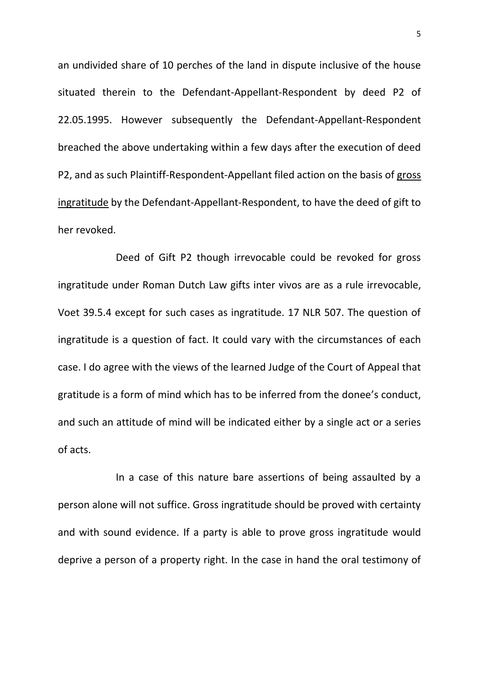an undivided share of 10 perches of the land in dispute inclusive of the house situated therein to the Defendant-Appellant-Respondent by deed P2 of 22.05.1995. However subsequently the Defendant-Appellant-Respondent breached the above undertaking within a few days after the execution of deed P2, and as such Plaintiff-Respondent-Appellant filed action on the basis of gross ingratitude by the Defendant-Appellant-Respondent, to have the deed of gift to her revoked.

Deed of Gift P2 though irrevocable could be revoked for gross ingratitude under Roman Dutch Law gifts inter vivos are as a rule irrevocable, Voet 39.5.4 except for such cases as ingratitude. 17 NLR 507. The question of ingratitude is a question of fact. It could vary with the circumstances of each case. I do agree with the views of the learned Judge of the Court of Appeal that gratitude is a form of mind which has to be inferred from the donee's conduct, and such an attitude of mind will be indicated either by a single act or a series of acts.

In a case of this nature bare assertions of being assaulted by a person alone will not suffice. Gross ingratitude should be proved with certainty and with sound evidence. If a party is able to prove gross ingratitude would deprive a person of a property right. In the case in hand the oral testimony of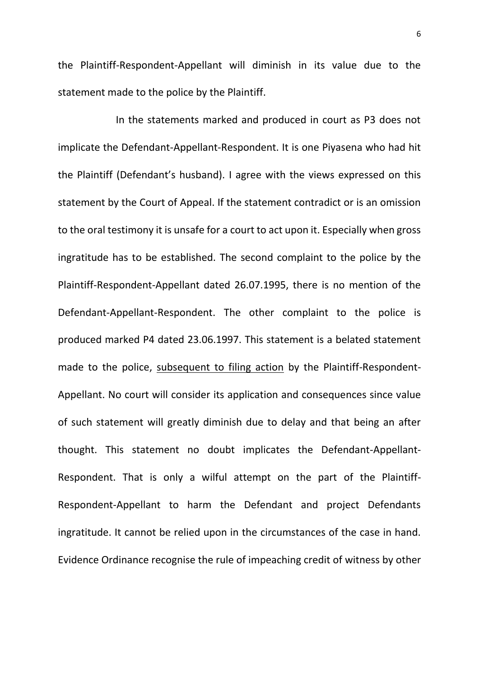the Plaintiff-Respondent-Appellant will diminish in its value due to the statement made to the police by the Plaintiff.

In the statements marked and produced in court as P3 does not implicate the Defendant-Appellant-Respondent. It is one Piyasena who had hit the Plaintiff (Defendant's husband). I agree with the views expressed on this statement by the Court of Appeal. If the statement contradict or is an omission to the oral testimony it is unsafe for a court to act upon it. Especially when gross ingratitude has to be established. The second complaint to the police by the Plaintiff-Respondent-Appellant dated 26.07.1995, there is no mention of the Defendant-Appellant-Respondent. The other complaint to the police is produced marked P4 dated 23.06.1997. This statement is a belated statement made to the police, subsequent to filing action by the Plaintiff-Respondent-Appellant. No court will consider its application and consequences since value of such statement will greatly diminish due to delay and that being an after thought. This statement no doubt implicates the Defendant-Appellant-Respondent. That is only a wilful attempt on the part of the Plaintiff-Respondent-Appellant to harm the Defendant and project Defendants ingratitude. It cannot be relied upon in the circumstances of the case in hand. Evidence Ordinance recognise the rule of impeaching credit of witness by other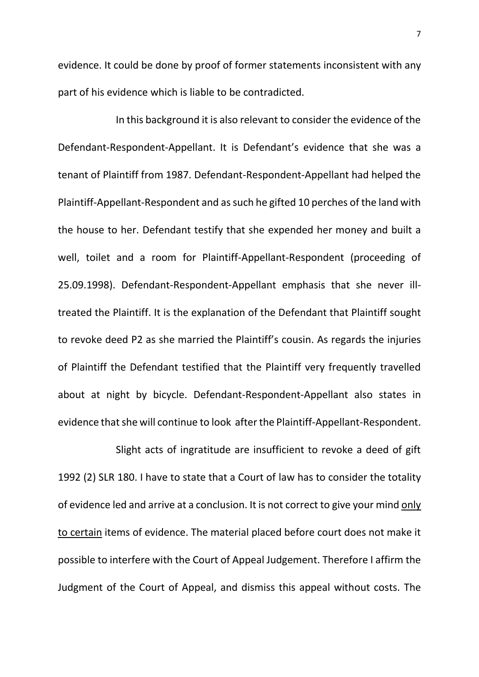evidence. It could be done by proof of former statements inconsistent with any part of his evidence which is liable to be contradicted.

In this background it is also relevant to consider the evidence of the Defendant-Respondent-Appellant. It is Defendant's evidence that she was a tenant of Plaintiff from 1987. Defendant-Respondent-Appellant had helped the Plaintiff-Appellant-Respondent and as such he gifted 10 perches of the land with the house to her. Defendant testify that she expended her money and built a well, toilet and a room for Plaintiff-Appellant-Respondent (proceeding of 25.09.1998). Defendant-Respondent-Appellant emphasis that she never illtreated the Plaintiff. It is the explanation of the Defendant that Plaintiff sought to revoke deed P2 as she married the Plaintiff's cousin. As regards the injuries of Plaintiff the Defendant testified that the Plaintiff very frequently travelled about at night by bicycle. Defendant-Respondent-Appellant also states in evidence that she will continue to look after the Plaintiff-Appellant-Respondent.

Slight acts of ingratitude are insufficient to revoke a deed of gift 1992 (2) SLR 180. I have to state that a Court of law has to consider the totality of evidence led and arrive at a conclusion. It is not correct to give your mind only to certain items of evidence. The material placed before court does not make it possible to interfere with the Court of Appeal Judgement. Therefore I affirm the Judgment of the Court of Appeal, and dismiss this appeal without costs. The